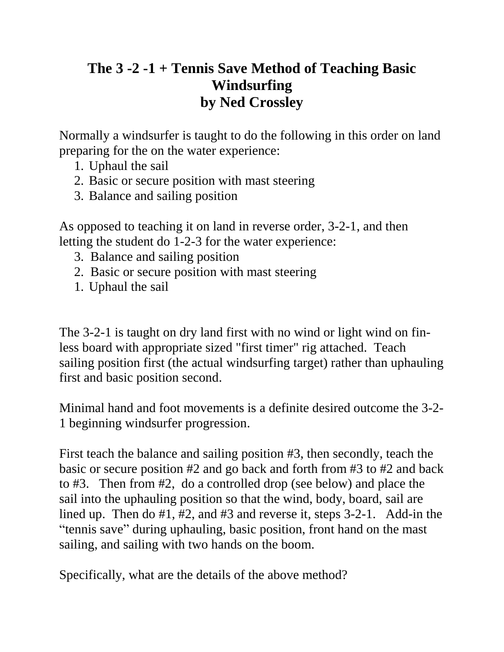## **The 3 -2 -1 + Tennis Save Method of Teaching Basic Windsurfing by Ned Crossley**

Normally a windsurfer is taught to do the following in this order on land preparing for the on the water experience:

- 1. Uphaul the sail
- 2. Basic or secure position with mast steering
- 3. Balance and sailing position

As opposed to teaching it on land in reverse order, 3-2-1, and then letting the student do 1-2-3 for the water experience:

- 3. Balance and sailing position
- 2. Basic or secure position with mast steering
- 1. Uphaul the sail

The 3-2-1 is taught on dry land first with no wind or light wind on finless board with appropriate sized "first timer" rig attached. Teach sailing position first (the actual windsurfing target) rather than uphauling first and basic position second.

Minimal hand and foot movements is a definite desired outcome the 3-2- 1 beginning windsurfer progression.

First teach the balance and sailing position #3, then secondly, teach the basic or secure position #2 and go back and forth from #3 to #2 and back to #3. Then from #2, do a controlled drop (see below) and place the sail into the uphauling position so that the wind, body, board, sail are lined up. Then do #1, #2, and #3 and reverse it, steps 3-2-1. Add-in the "tennis save" during uphauling, basic position, front hand on the mast sailing, and sailing with two hands on the boom.

Specifically, what are the details of the above method?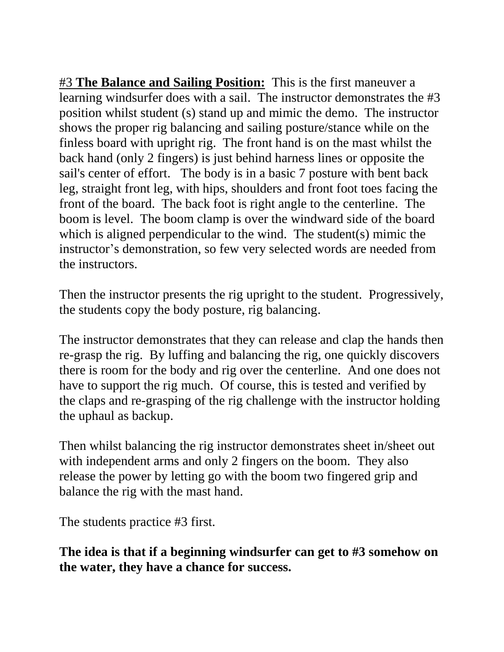#3 **The Balance and Sailing Position:** This is the first maneuver a learning windsurfer does with a sail. The instructor demonstrates the #3 position whilst student (s) stand up and mimic the demo. The instructor shows the proper rig balancing and sailing posture/stance while on the finless board with upright rig. The front hand is on the mast whilst the back hand (only 2 fingers) is just behind harness lines or opposite the sail's center of effort. The body is in a basic 7 posture with bent back leg, straight front leg, with hips, shoulders and front foot toes facing the front of the board. The back foot is right angle to the centerline. The boom is level. The boom clamp is over the windward side of the board which is aligned perpendicular to the wind. The student(s) mimic the instructor's demonstration, so few very selected words are needed from the instructors.

Then the instructor presents the rig upright to the student. Progressively, the students copy the body posture, rig balancing.

The instructor demonstrates that they can release and clap the hands then re-grasp the rig. By luffing and balancing the rig, one quickly discovers there is room for the body and rig over the centerline. And one does not have to support the rig much. Of course, this is tested and verified by the claps and re-grasping of the rig challenge with the instructor holding the uphaul as backup.

Then whilst balancing the rig instructor demonstrates sheet in/sheet out with independent arms and only 2 fingers on the boom. They also release the power by letting go with the boom two fingered grip and balance the rig with the mast hand.

The students practice #3 first.

**The idea is that if a beginning windsurfer can get to #3 somehow on the water, they have a chance for success.**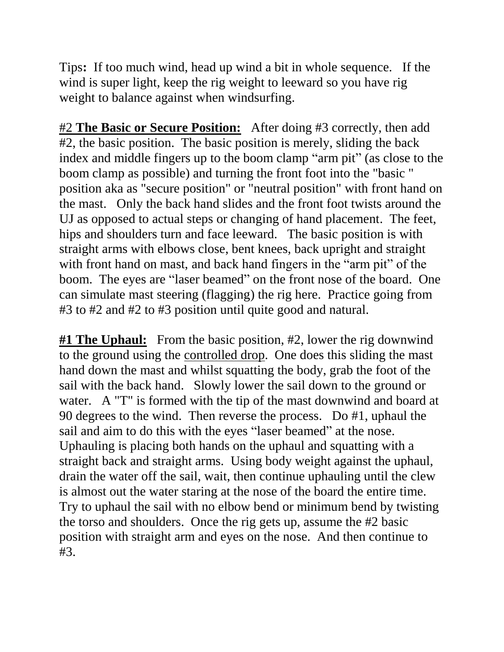Tips**:** If too much wind, head up wind a bit in whole sequence. If the wind is super light, keep the rig weight to leeward so you have rig weight to balance against when windsurfing.

#2 **The Basic or Secure Position:** After doing #3 correctly, then add #2, the basic position. The basic position is merely, sliding the back index and middle fingers up to the boom clamp "arm pit" (as close to the boom clamp as possible) and turning the front foot into the "basic " position aka as "secure position" or "neutral position" with front hand on the mast. Only the back hand slides and the front foot twists around the UJ as opposed to actual steps or changing of hand placement. The feet, hips and shoulders turn and face leeward. The basic position is with straight arms with elbows close, bent knees, back upright and straight with front hand on mast, and back hand fingers in the "arm pit" of the boom. The eyes are "laser beamed" on the front nose of the board. One can simulate mast steering (flagging) the rig here. Practice going from #3 to #2 and #2 to #3 position until quite good and natural.

**#1 The Uphaul:** From the basic position, #2, lower the rig downwind to the ground using the controlled drop. One does this sliding the mast hand down the mast and whilst squatting the body, grab the foot of the sail with the back hand. Slowly lower the sail down to the ground or water. A "T" is formed with the tip of the mast downwind and board at 90 degrees to the wind. Then reverse the process. Do #1, uphaul the sail and aim to do this with the eyes "laser beamed" at the nose. Uphauling is placing both hands on the uphaul and squatting with a straight back and straight arms. Using body weight against the uphaul, drain the water off the sail, wait, then continue uphauling until the clew is almost out the water staring at the nose of the board the entire time. Try to uphaul the sail with no elbow bend or minimum bend by twisting the torso and shoulders. Once the rig gets up, assume the #2 basic position with straight arm and eyes on the nose. And then continue to #3.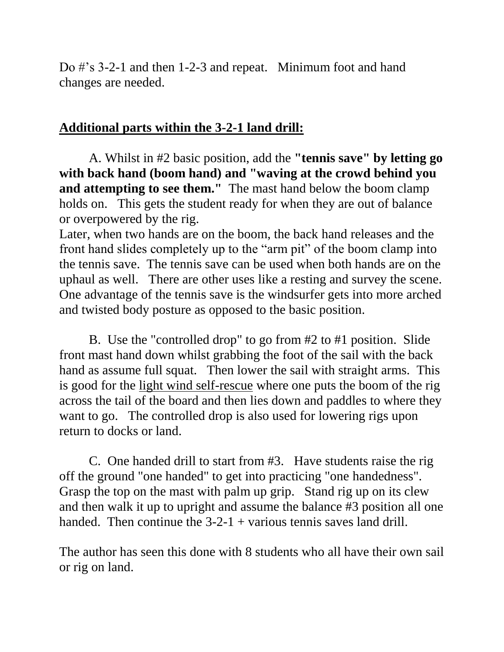Do #'s 3-2-1 and then 1-2-3 and repeat. Minimum foot and hand changes are needed.

## **Additional parts within the 3-2-1 land drill:**

A. Whilst in #2 basic position, add the **"tennis save" by letting go with back hand (boom hand) and "waving at the crowd behind you and attempting to see them."** The mast hand below the boom clamp holds on. This gets the student ready for when they are out of balance or overpowered by the rig.

Later, when two hands are on the boom, the back hand releases and the front hand slides completely up to the "arm pit" of the boom clamp into the tennis save. The tennis save can be used when both hands are on the uphaul as well. There are other uses like a resting and survey the scene. One advantage of the tennis save is the windsurfer gets into more arched and twisted body posture as opposed to the basic position.

B. Use the "controlled drop" to go from #2 to #1 position. Slide front mast hand down whilst grabbing the foot of the sail with the back hand as assume full squat. Then lower the sail with straight arms. This is good for the light wind self-rescue where one puts the boom of the rig across the tail of the board and then lies down and paddles to where they want to go. The controlled drop is also used for lowering rigs upon return to docks or land.

C. One handed drill to start from #3. Have students raise the rig off the ground "one handed" to get into practicing "one handedness". Grasp the top on the mast with palm up grip. Stand rig up on its clew and then walk it up to upright and assume the balance #3 position all one handed. Then continue the  $3-2-1$  + various tennis saves land drill.

The author has seen this done with 8 students who all have their own sail or rig on land.